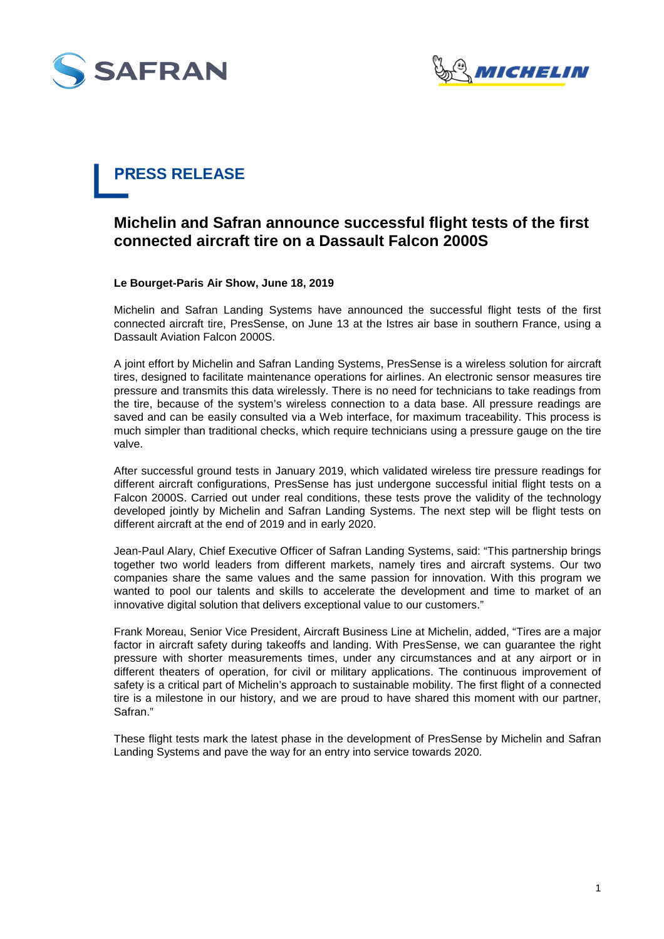



# **PRESS RELEASE**

# **Michelin and Safran announce successful flight tests of the first connected aircraft tire on a Dassault Falcon 2000S**

## **Le Bourget-Paris Air Show, June 18, 2019**

Michelin and Safran Landing Systems have announced the successful flight tests of the first connected aircraft tire, PresSense, on June 13 at the Istres air base in southern France, using a Dassault Aviation Falcon 2000S.

A joint effort by Michelin and Safran Landing Systems, PresSense is a wireless solution for aircraft tires, designed to facilitate maintenance operations for airlines. An electronic sensor measures tire pressure and transmits this data wirelessly. There is no need for technicians to take readings from the tire, because of the system's wireless connection to a data base. All pressure readings are saved and can be easily consulted via a Web interface, for maximum traceability. This process is much simpler than traditional checks, which require technicians using a pressure gauge on the tire valve.

After successful ground tests in January 2019, which validated wireless tire pressure readings for different aircraft configurations, PresSense has just undergone successful initial flight tests on a Falcon 2000S. Carried out under real conditions, these tests prove the validity of the technology developed jointly by Michelin and Safran Landing Systems. The next step will be flight tests on different aircraft at the end of 2019 and in early 2020.

Jean-Paul Alary, Chief Executive Officer of Safran Landing Systems, said: "This partnership brings together two world leaders from different markets, namely tires and aircraft systems. Our two companies share the same values and the same passion for innovation. With this program we wanted to pool our talents and skills to accelerate the development and time to market of an innovative digital solution that delivers exceptional value to our customers."

Frank Moreau, Senior Vice President, Aircraft Business Line at Michelin, added, "Tires are a major factor in aircraft safety during takeoffs and landing. With PresSense, we can guarantee the right pressure with shorter measurements times, under any circumstances and at any airport or in different theaters of operation, for civil or military applications. The continuous improvement of safety is a critical part of Michelin's approach to sustainable mobility. The first flight of a connected tire is a milestone in our history, and we are proud to have shared this moment with our partner, Safran."

These flight tests mark the latest phase in the development of PresSense by Michelin and Safran Landing Systems and pave the way for an entry into service towards 2020.